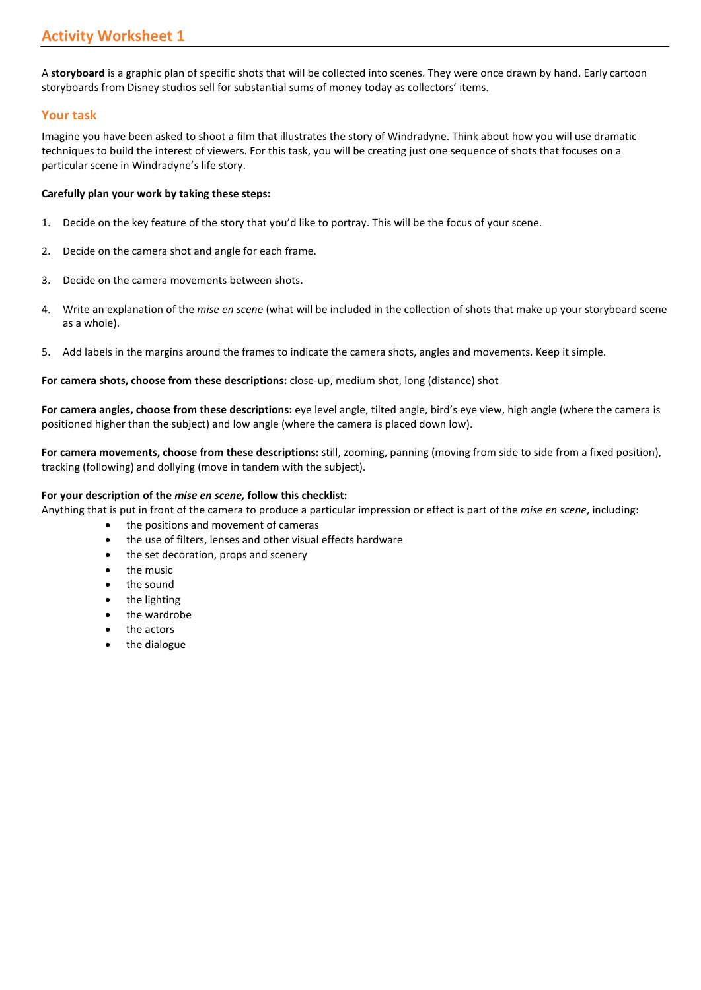A **storyboard** is a graphic plan of specific shots that will be collected into scenes. They were once drawn by hand. Early cartoon storyboards from Disney studios sell for substantial sums of money today as collectors' items.

# **Your task**

Imagine you have been asked to shoot a film that illustrates the story of Windradyne. Think about how you will use dramatic techniques to build the interest of viewers. For this task, you will be creating just one sequence of shots that focuses on a particular scene in Windradyne's life story.

### **Carefully plan your work by taking these steps:**

- 1. Decide on the key feature of the story that you'd like to portray. This will be the focus of your scene.
- 2. Decide on the camera shot and angle for each frame.
- 3. Decide on the camera movements between shots.
- 4. Write an explanation of the *mise en scene* (what will be included in the collection of shots that make up your storyboard scene as a whole).
- 5. Add labels in the margins around the frames to indicate the camera shots, angles and movements. Keep it simple.

## **For camera shots, choose from these descriptions:** close-up, medium shot, long (distance) shot

**For camera angles, choose from these descriptions:** eye level angle, tilted angle, bird's eye view, high angle (where the camera is positioned higher than the subject) and low angle (where the camera is placed down low).

**For camera movements, choose from these descriptions:** still, zooming, panning (moving from side to side from a fixed position), tracking (following) and dollying (move in tandem with the subject).

### **For your description of the** *mise en scene,* **follow this checklist:**

- Anything that is put in front of the camera to produce a particular impression or effect is part of the *mise en scene*, including:
	- the positions and movement of cameras
	- the use of filters, lenses and other visual effects hardware
	- the set decoration, props and scenery
	- the music
	- the sound
	- the lighting
	- the wardrobe
	- the actors
	- the dialogue